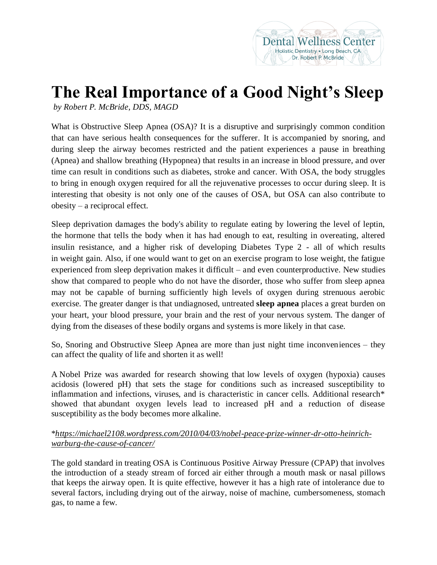## **The Real Importance of a Good Night's Sleep**

*by Robert P. McBride, DDS, MAGD*

What is Obstructive Sleep Apnea (OSA)? It is a disruptive and surprisingly common condition that can have serious health consequences for the sufferer. It is accompanied by snoring, and during sleep the airway becomes restricted and the patient experiences a pause in breathing (Apnea) and shallow breathing (Hypopnea) that results in an increase in blood pressure, and over time can result in conditions such as diabetes, stroke and cancer. With OSA, the body struggles to bring in enough oxygen required for all the rejuvenative processes to occur during sleep. It is interesting that obesity is not only one of the causes of OSA, but OSA can also contribute to obesity – a reciprocal effect.

Sleep deprivation damages the body's ability to regulate eating by lowering the level of leptin, the hormone that tells the body when it has had enough to eat, resulting in overeating, altered insulin resistance, and a higher risk of developing Diabetes Type 2 - all of which results in weight gain. Also, if one would want to get on an exercise program to lose weight, the fatigue experienced from sleep deprivation makes it difficult – and even counterproductive. New studies show that compared to people who do not have the disorder, those who suffer from sleep apnea may not be capable of burning sufficiently high levels of oxygen during strenuous aerobic exercise. The greater danger is that undiagnosed, untreated **sleep apnea** places a great burden on your heart, your blood pressure, your brain and the rest of your nervous system. The danger of dying from the diseases of these bodily organs and systems is more likely in that case.

So, Snoring and Obstructive Sleep Apnea are more than just night time inconveniences – they can affect the quality of life and shorten it as well!

A Nobel Prize was awarded for research showing that low levels of oxygen (hypoxia) causes acidosis (lowered pH) that sets the stage for conditions such as increased susceptibility to inflammation and infections, viruses, and is characteristic in cancer cells. Additional research\* showed that abundant oxygen levels lead to increased pH and a reduction of disease susceptibility as the body becomes more alkaline.

## \**[https://michael2108.wordpress.com/2010/04/03/nobel-peace-prize-winner-dr-otto-heinrich](https://michael2108.wordpress.com/2010/04/03/nobel-peace-prize-winner-dr-otto-heinrich-warburg-the-cause-of-cancer/)[warburg-the-cause-of-cancer/](https://michael2108.wordpress.com/2010/04/03/nobel-peace-prize-winner-dr-otto-heinrich-warburg-the-cause-of-cancer/)*

The gold standard in treating OSA is Continuous Positive Airway Pressure (CPAP) that involves the introduction of a steady stream of forced air either through a mouth mask or nasal pillows that keeps the airway open. It is quite effective, however it has a high rate of intolerance due to several factors, including drying out of the airway, noise of machine, cumbersomeness, stomach gas, to name a few.